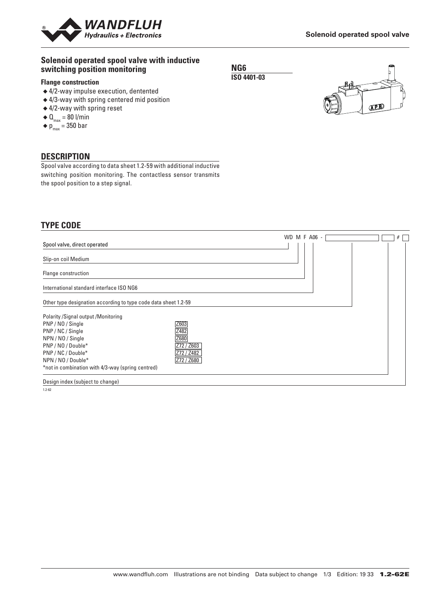

#### **Solenoid operated spool valve with inductive switching position monitoring**

#### **Flange construction**

- ◆ 4/2-way impulse execution, dentented
- ◆ 4/3-way with spring centered mid position
- ◆ 4/2-way with spring reset
- $\blacklozenge \mathbf{0}_{\text{max}} = 80 \text{ I/min}$
- $\blacklozenge$  p<sub>max</sub> = 350 bar

#### **DESCRIPTION**

Spool valve according to data sheet 1.2-59 with additional inductive switching position monitoring. The contactless sensor transmits the spool position to a step signal.

### **TYPE CODE**

|                                                                 | WD M F A06 - | # |
|-----------------------------------------------------------------|--------------|---|
| Spool valve, direct operated                                    |              |   |
| Slip-on coil Medium                                             |              |   |
| Flange construction                                             |              |   |
| International standard interface ISO NG6                        |              |   |
| Other type designation according to type code data sheet 1.2-59 |              |   |
| Polarity / Signal output / Monitoring                           |              |   |
| Z603<br>PNP / NO / Single                                       |              |   |
| Z482<br>PNP / NC / Single                                       |              |   |
| Z680<br>NPN / NO / Single                                       |              |   |
| PNP / NO / Double*<br>Z72 / Z603                                |              |   |
| PNP / NC / Double*<br>Z72 / Z482                                |              |   |
| Z72 / Z680<br>NPN / NO / Double*                                |              |   |
| *not in combination with 4/3-way (spring centred)               |              |   |
| _                                                               |              |   |

Design index (subject to change)

1.2-62

**NG6 ISO 4401-03**



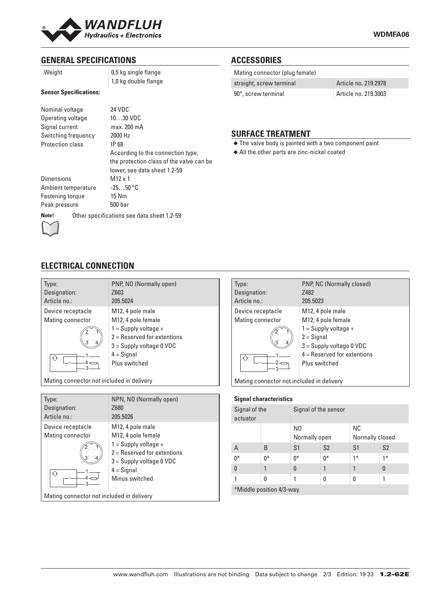

| Weight |
|--------|
|--------|

0,5 kg single flange 1,0 kg double flange

### **Sensor Specifications:**

| Nominal voltage<br>Operating voltage<br>Signal current<br>Switching frequency<br><b>Protection class</b> |                                            | 24 VDC<br>$1030$ VDC<br>max. 200 mA<br>2000 Hz<br>IP 68<br>According to the connection type,<br>the protection class of the valve can be<br>lower, see data sheet 1.2-59 |  |  |
|----------------------------------------------------------------------------------------------------------|--------------------------------------------|--------------------------------------------------------------------------------------------------------------------------------------------------------------------------|--|--|
| <b>Dimensions</b>                                                                                        |                                            | $M12 \times 1$                                                                                                                                                           |  |  |
| Ambient temperature                                                                                      |                                            | $-2550$ °C                                                                                                                                                               |  |  |
| Fastening torque                                                                                         |                                            | 15 Nm                                                                                                                                                                    |  |  |
| Peak pressure                                                                                            |                                            | 500 bar                                                                                                                                                                  |  |  |
| Note!                                                                                                    | Other specifications see data sheet 1.2-59 |                                                                                                                                                                          |  |  |

### **ACCESSORIES**

| Mating connector (plug female) |                      |
|--------------------------------|----------------------|
| straight, screw terminal       | Article no. 219.2978 |
| 90°, screw terminal            | Article no. 219.3003 |

### **SURFACE TREATMENT**

◆ The valve body is painted with a two component paint

◆ All the other parts are zinc-nickel coated



# **ELECTRICAL CONNECTION**

| Type:<br>Designation:<br>Article no.: | PNP, NO (Normally open)<br>Z603<br>205.5024                                                                                                                      |
|---------------------------------------|------------------------------------------------------------------------------------------------------------------------------------------------------------------|
| Device receptacle<br>Mating connector | M12, 4 pole male<br>M12, 4 pole female<br>$1 =$ Supply voltage +<br>$2 =$ Reserved for extentions<br>$3 =$ Supply voltage 0 VDC<br>$4 =$ Signal<br>Plus switched |

Mating connector not included in delivery

| Type:                                     | NPN, NO (Normally open)       |  |  |
|-------------------------------------------|-------------------------------|--|--|
| Designation:                              | Z680                          |  |  |
| Article no.:                              | 205.5026                      |  |  |
| Device receptacle                         | M12, 4 pole male              |  |  |
| Mating connector                          | M12, 4 pole female            |  |  |
|                                           | $1 =$ Supply voltage +        |  |  |
|                                           | $2 =$ Reserved for extentions |  |  |
|                                           | $3 =$ Supply voltage 0 VDC    |  |  |
|                                           | $4 =$ Signal                  |  |  |
|                                           | Minus switched                |  |  |
| Mating connector not included in delivery |                               |  |  |

| Type:                                     | <b>PNP, NC (Normally closed)</b> |  |  |
|-------------------------------------------|----------------------------------|--|--|
| Designation:                              | Z482                             |  |  |
| Article no.:                              | 205.5023                         |  |  |
| Device receptacle                         | M <sub>12</sub> , 4 pole male    |  |  |
| Mating connector                          | M12, 4 pole female               |  |  |
|                                           | $1 =$ Supply voltage +           |  |  |
|                                           | $2 =$ Signal                     |  |  |
|                                           | $3 =$ Supply voltage 0 VDC       |  |  |
|                                           | $4 =$ Reserved for extentions    |  |  |
| 3                                         | Plus switched                    |  |  |
| Mating connector not included in delivery |                                  |  |  |

| <b>Signal characteristics</b> |       |                      |                |                 |                |
|-------------------------------|-------|----------------------|----------------|-----------------|----------------|
| Signal of the<br>actuator     |       | Signal of the sensor |                |                 |                |
|                               |       | N0                   |                | <b>NC</b>       |                |
|                               |       | Normally open        |                | Normally closed |                |
| Α                             | B     | S1                   | S <sub>2</sub> | S <sub>1</sub>  | S <sub>2</sub> |
| $0^*$                         | $0^*$ | $0*$                 | $0^*$          | $1*$            | $1*$           |
| $\bf{0}$                      |       | $\Omega$             |                |                 | 0              |
|                               | 0     |                      | 0              | 0               |                |
| *Middle position 4/3-way      |       |                      |                |                 |                |